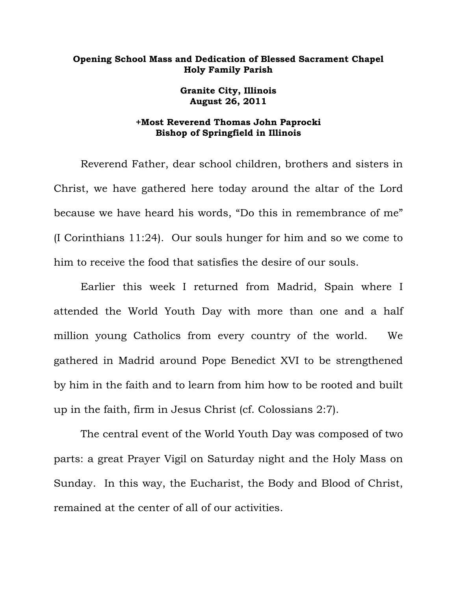## **Opening School Mass and Dedication of Blessed Sacrament Chapel Holy Family Parish**

**Granite City, Illinois August 26, 2011** 

## **+Most Reverend Thomas John Paprocki Bishop of Springfield in Illinois**

 Reverend Father, dear school children, brothers and sisters in Christ, we have gathered here today around the altar of the Lord because we have heard his words, "Do this in remembrance of me" (I Corinthians 11:24). Our souls hunger for him and so we come to him to receive the food that satisfies the desire of our souls.

 Earlier this week I returned from Madrid, Spain where I attended the World Youth Day with more than one and a half million young Catholics from every country of the world. We gathered in Madrid around Pope Benedict XVI to be strengthened by him in the faith and to learn from him how to be rooted and built up in the faith, firm in Jesus Christ (cf. Colossians 2:7).

 The central event of the World Youth Day was composed of two parts: a great Prayer Vigil on Saturday night and the Holy Mass on Sunday. In this way, the Eucharist, the Body and Blood of Christ, remained at the center of all of our activities.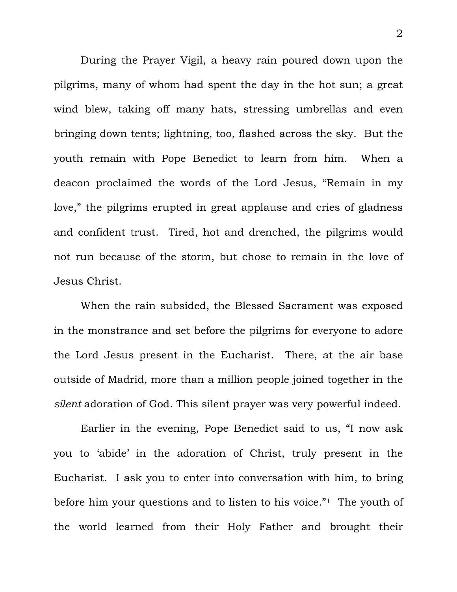During the Prayer Vigil, a heavy rain poured down upon the pilgrims, many of whom had spent the day in the hot sun; a great wind blew, taking off many hats, stressing umbrellas and even bringing down tents; lightning, too, flashed across the sky. But the youth remain with Pope Benedict to learn from him. When a deacon proclaimed the words of the Lord Jesus, "Remain in my love," the pilgrims erupted in great applause and cries of gladness and confident trust. Tired, hot and drenched, the pilgrims would not run because of the storm, but chose to remain in the love of Jesus Christ.

 When the rain subsided, the Blessed Sacrament was exposed in the monstrance and set before the pilgrims for everyone to adore the Lord Jesus present in the Eucharist. There, at the air base outside of Madrid, more than a million people joined together in the *silent* adoration of God. This silent prayer was very powerful indeed.

 Earlier in the evening, Pope Benedict said to us, "I now ask you to 'abide' in the adoration of Christ, truly present in the Eucharist. I ask you to enter into conversation with him, to bring before him your questions and to listen to his voice."1 The youth of the world learned from their Holy Father and brought their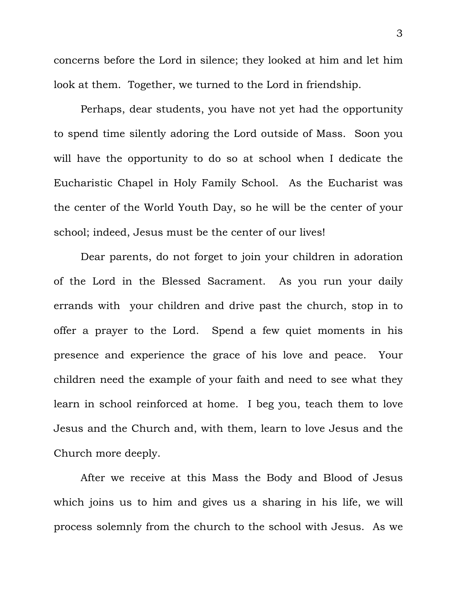concerns before the Lord in silence; they looked at him and let him look at them. Together, we turned to the Lord in friendship.

 Perhaps, dear students, you have not yet had the opportunity to spend time silently adoring the Lord outside of Mass. Soon you will have the opportunity to do so at school when I dedicate the Eucharistic Chapel in Holy Family School. As the Eucharist was the center of the World Youth Day, so he will be the center of your school; indeed, Jesus must be the center of our lives!

 Dear parents, do not forget to join your children in adoration of the Lord in the Blessed Sacrament. As you run your daily errands with your children and drive past the church, stop in to offer a prayer to the Lord. Spend a few quiet moments in his presence and experience the grace of his love and peace. Your children need the example of your faith and need to see what they learn in school reinforced at home. I beg you, teach them to love Jesus and the Church and, with them, learn to love Jesus and the Church more deeply.

 After we receive at this Mass the Body and Blood of Jesus which joins us to him and gives us a sharing in his life, we will process solemnly from the church to the school with Jesus. As we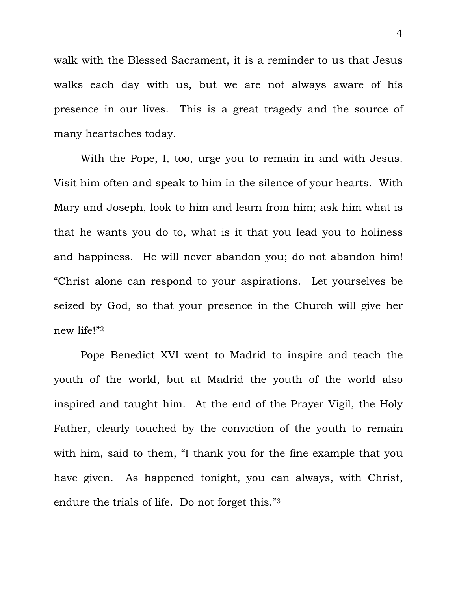walk with the Blessed Sacrament, it is a reminder to us that Jesus walks each day with us, but we are not always aware of his presence in our lives. This is a great tragedy and the source of many heartaches today.

 With the Pope, I, too, urge you to remain in and with Jesus. Visit him often and speak to him in the silence of your hearts. With Mary and Joseph, look to him and learn from him; ask him what is that he wants you do to, what is it that you lead you to holiness and happiness. He will never abandon you; do not abandon him! "Christ alone can respond to your aspirations. Let yourselves be seized by God, so that your presence in the Church will give her new life!"2

 Pope Benedict XVI went to Madrid to inspire and teach the youth of the world, but at Madrid the youth of the world also inspired and taught him. At the end of the Prayer Vigil, the Holy Father, clearly touched by the conviction of the youth to remain with him, said to them, "I thank you for the fine example that you have given. As happened tonight, you can always, with Christ, endure the trials of life. Do not forget this."3